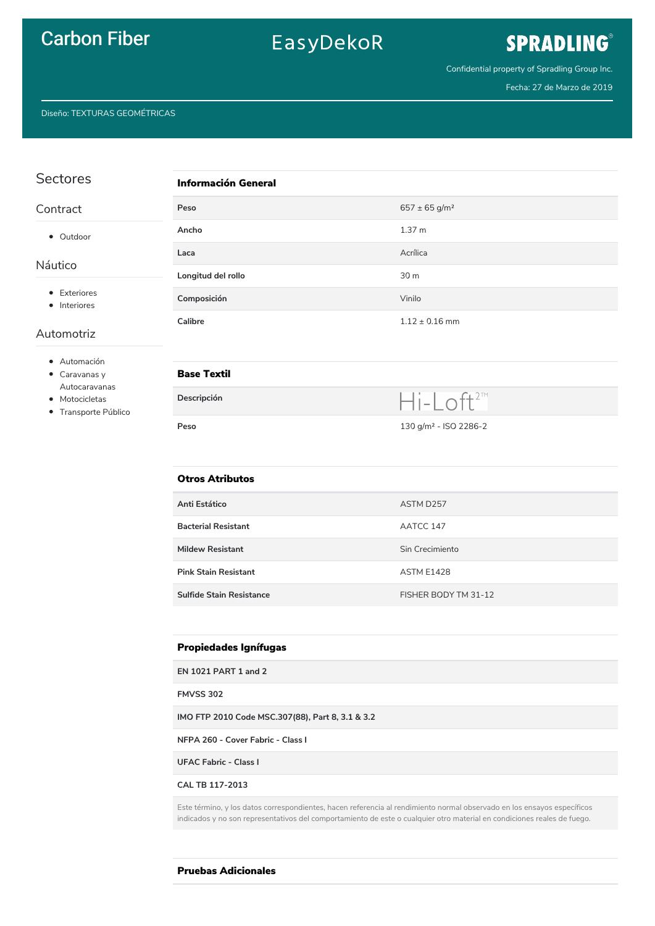### **Carbon Fiber**

## EasyDekoR

## SPRADLING®

Confidential property of Spradling Group Inc.

Fecha: 27 de Marzo de 2019

Diseño: TEXTURAS GEOMÉTRICAS

| Sectores                                                                                         | <b>Información General</b>      |                                   |  |
|--------------------------------------------------------------------------------------------------|---------------------------------|-----------------------------------|--|
| Contract                                                                                         | Peso                            | $657 \pm 65$ g/m <sup>2</sup>     |  |
| • Outdoor<br>Náutico<br>• Exteriores<br>• Interiores<br>Automotriz                               | Ancho                           | 1.37 m                            |  |
|                                                                                                  | Laca                            | Acrílica                          |  |
|                                                                                                  | Longitud del rollo              | 30 m                              |  |
|                                                                                                  | Composición                     | Vinilo                            |  |
|                                                                                                  | Calibre                         | $1.12 \pm 0.16$ mm                |  |
| • Automación<br>$\bullet$ Caravanas y<br>Autocaravanas<br>• Motocicletas<br>• Transporte Público | <b>Base Textil</b>              |                                   |  |
|                                                                                                  | Descripción                     | $Hi-Loft^{2m}$                    |  |
|                                                                                                  | Peso                            | 130 g/m <sup>2</sup> - ISO 2286-2 |  |
|                                                                                                  | <b>Otros Atributos</b>          |                                   |  |
|                                                                                                  | Anti Estático                   | ASTM D257                         |  |
|                                                                                                  | <b>Bacterial Resistant</b>      | AATCC 147                         |  |
|                                                                                                  | <b>Mildew Resistant</b>         | Sin Crecimiento                   |  |
|                                                                                                  | <b>Pink Stain Resistant</b>     | ASTM E1428                        |  |
|                                                                                                  | <b>Sulfide Stain Resistance</b> | FISHER BODY TM 31-12              |  |
|                                                                                                  |                                 |                                   |  |

#### **Propiedades Ignífugas**

**EN 1021 PART 1 and 2** 

**FMVSS 302** 

IMO FTP 2010 Code MSC.307(88), Part 8, 3.1 & 3.2

NFPA 260 - Cover Fabric - Class I

**UFAC Fabric - Class I** 

CAL TB 117-2013

Este término, y los datos correspondientes, hacen referencia al rendimiento normal observado en los ensayos específicos indicados y no son representativos del comportamiento de este o cualquier otro material en condiciones reales de fuego.

**Pruebas Adicionales**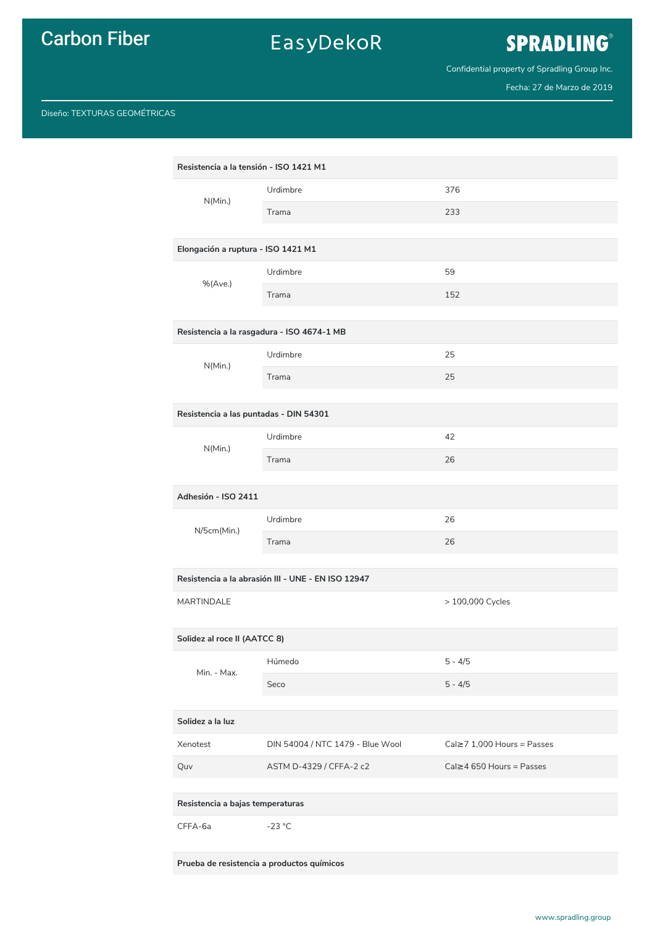## **Carbon Fiber**

## EasyDekoR

# SPRADLING®

Confidential property of Spradling Group Inc.

Fecha: 27 de Marzo de 2019

#### Diseño: TEXTURAS GEOMÉTRICAS

| Resistencia a la tensión - ISO 1421 M1             |          |                  |  |  |
|----------------------------------------------------|----------|------------------|--|--|
| N(Min.)                                            | Urdimbre | 376              |  |  |
|                                                    | Trama    | 233              |  |  |
|                                                    |          |                  |  |  |
| Elongación a ruptura - ISO 1421 M1                 |          |                  |  |  |
| $%$ (Ave.)                                         | Urdimbre | 59               |  |  |
|                                                    | Trama    | 152              |  |  |
| Resistencia a la rasgadura - ISO 4674-1 MB         |          |                  |  |  |
| N(Min.)                                            | Urdimbre | 25               |  |  |
|                                                    | Trama    | 25               |  |  |
| Resistencia a las puntadas - DIN 54301             |          |                  |  |  |
| N(Min.)                                            | Urdimbre | 42               |  |  |
|                                                    | Trama    | 26               |  |  |
| Adhesión - ISO 2411                                |          |                  |  |  |
| N/5cm(Min.)                                        | Urdimbre | 26               |  |  |
|                                                    | Trama    | 26               |  |  |
| Resistencia a la abrasión III - UNE - EN ISO 12947 |          |                  |  |  |
| <b>MARTINDALE</b>                                  |          | > 100,000 Cycles |  |  |
| Solidez al roce II (AATCC 8)                       |          |                  |  |  |
| Min. - Max.                                        | Húmedo   | $5 - 4/5$        |  |  |
|                                                    | Seco     | $5 - 4/5$        |  |  |

#### Solidez a la luz

| Xenotest | DIN 54004 / NTC 1479 - Blue Wool | $Cal \ge 71.000$ Hours = Passes |
|----------|----------------------------------|---------------------------------|
| Quv      | ASTM D-4329 / CFFA-2 c2          | $Cal \geq 4650$ Hours = Passes  |

Resistencia a bajas temperaturas

CFFA-6a  $-23$  °C

Prueba de resistencia a productos químicos